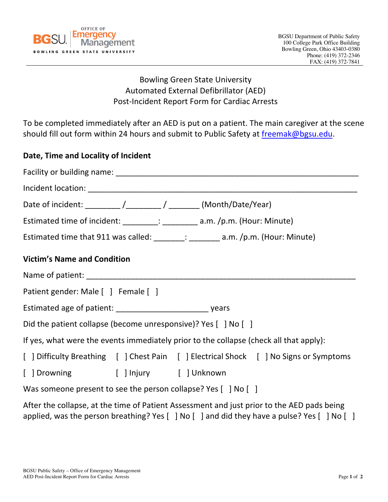

## Bowling Green State University Automated External Defibrillator (AED) Post-Incident Report Form for Cardiac Arrests

To be completed immediately after an AED is put on a patient. The main caregiver at the scene should fill out form within 24 hours and submit to Public Safety at freemak@bgsu.edu.

## **Date, Time and Locality of Incident**

| Date of incident: _________ /_________ / ________ (Month/Date/Year)                    |  |
|----------------------------------------------------------------------------------------|--|
| Estimated time of incident: _________: _________ a.m. /p.m. (Hour: Minute)             |  |
| Estimated time that 911 was called: ______; ________ a.m. /p.m. (Hour: Minute)         |  |
| <b>Victim's Name and Condition</b>                                                     |  |
|                                                                                        |  |
| Patient gender: Male [ ] Female [ ]                                                    |  |
|                                                                                        |  |
| Did the patient collapse (become unresponsive)? Yes [ ] No [ ]                         |  |
| If yes, what were the events immediately prior to the collapse (check all that apply): |  |
| [ ] Difficulty Breathing [ ] Chest Pain [ ] Electrical Shock [ ] No Signs or Symptoms  |  |
| [ ] Drowning [ ] Injury [ ] Unknown                                                    |  |
| Was someone present to see the person collapse? Yes [ ] No [ ]                         |  |

After the collapse, at the time of Patient Assessment and just prior to the AED pads being applied, was the person breathing? Yes [ ] No [ ] and did they have a pulse? Yes [ ] No [ ]